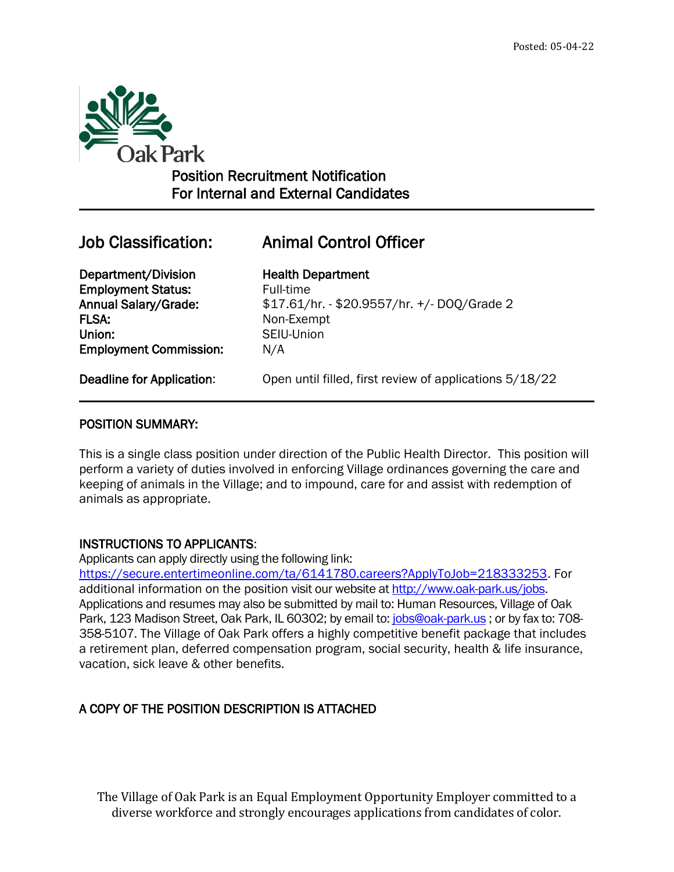

# Position Recruitment Notification For Internal and External Candidates

 $\overline{a}$ 

# Job Classification: Animal Control Officer

Department/Division Health Department **Employment Status:** Full-time FLSA: Non-Exempt Union: SEIU-Union Employment Commission: N/A

Annual Salary/Grade: \$17.61/hr. - \$20.9557/hr. +/- DOQ/Grade 2

Deadline for Application: Open until filled, first review of applications 5/18/22

## POSITION SUMMARY:

This is a single class position under direction of the Public Health Director. This position will perform a variety of duties involved in enforcing Village ordinances governing the care and keeping of animals in the Village; and to impound, care for and assist with redemption of animals as appropriate.

## INSTRUCTIONS TO APPLICANTS:

Applicants can apply directly using the following link:

[https://secure.entertimeonline.com/ta/6141780.careers?ApplyToJob=218333253.](https://secure.entertimeonline.com/ta/6141780.careers?ApplyToJob=218333253) For additional information on the position visit our website at [http://www.oak-park.us/j](http://www.oak-park.us/)obs. Applications and resumes may also be submitted by mail to: Human Resources, Village of Oak Park, 123 Madison Street, Oak Park, IL 60302; by email to: [jobs@oak-park.us](mailto:jobs@oak-park.us); or by fax to: 708-358-5107. The Village of Oak Park offers a highly competitive benefit package that includes a retirement plan, deferred compensation program, social security, health & life insurance, vacation, sick leave & other benefits.

# A COPY OF THE POSITION DESCRIPTION IS ATTACHED

The Village of Oak Park is an Equal Employment Opportunity Employer committed to a diverse workforce and strongly encourages applications from candidates of color.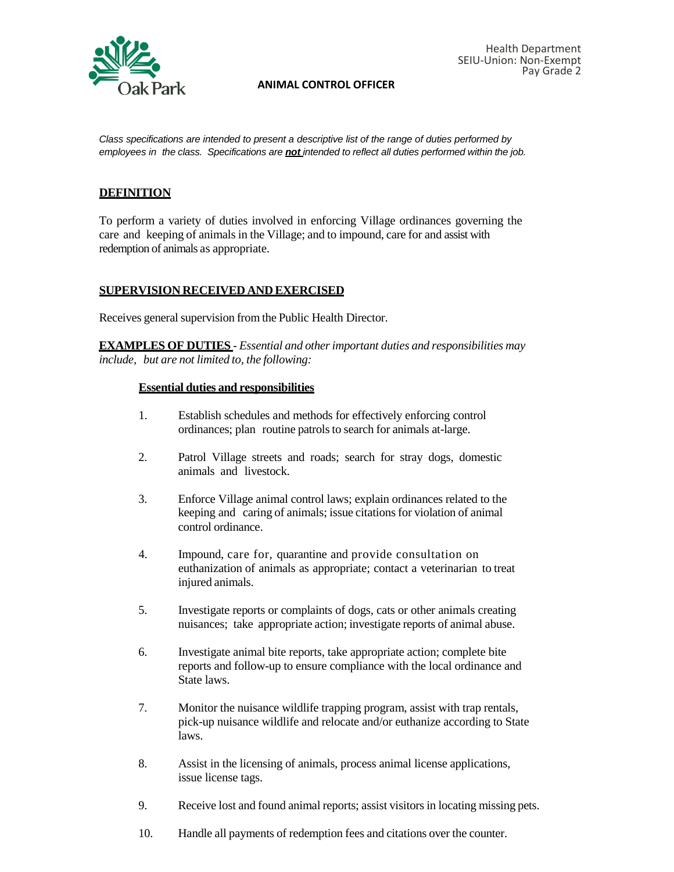

#### **ANIMAL CONTROL OFFICER**

*Class specifications are intended to present a descriptive list of the range of duties performed by employees in the class. Specifications are not intended to reflect all duties performed within the job.*

### **DEFINITION**

To perform a variety of duties involved in enforcing Village ordinances governing the care and keeping of animals in the Village; and to impound, care for and assist with redemption of animals as appropriate.

#### **SUPERVISION RECEIVED AND EXERCISED**

Receives general supervision from the Public Health Director.

**EXAMPLES OF DUTIES** - *Essential and otherimportant duties and responsibilities may include, but are not limited to, the following:*

#### **Essential duties and responsibilities**

- 1. Establish schedules and methods for effectively enforcing control ordinances; plan routine patrols to search for animals at-large.
- 2. Patrol Village streets and roads; search for stray dogs, domestic animals and livestock.
- 3. Enforce Village animal control laws; explain ordinances related to the keeping and caring of animals; issue citations for violation of animal control ordinance.
- 4. Impound, care for, quarantine and provide consultation on euthanization of animals as appropriate; contact a veterinarian to treat injured animals.
- 5. Investigate reports or complaints of dogs, cats or other animals creating nuisances; take appropriate action; investigate reports of animal abuse.
- 6. Investigate animal bite reports, take appropriate action; complete bite reports and follow-up to ensure compliance with the local ordinance and State laws.
- 7. Monitor the nuisance wildlife trapping program, assist with trap rentals, pick-up nuisance wildlife and relocate and/or euthanize according to State laws.
- 8. Assist in the licensing of animals, process animal license applications, issue license tags.
- 9. Receive lost and found animal reports; assist visitorsin locating missing pets.
- 10. Handle all payments of redemption fees and citations over the counter.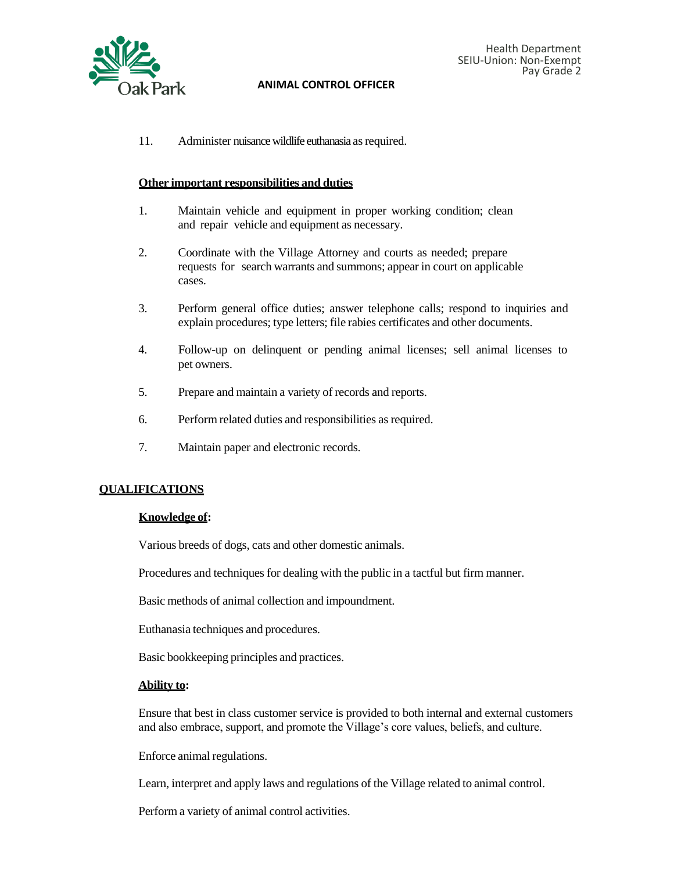

#### **ANIMAL CONTROL OFFICER**

11. Administer nuisance wildlife euthanasia as required.

#### **Other important responsibilities and duties**

- 1. Maintain vehicle and equipment in proper working condition; clean and repair vehicle and equipment as necessary.
- 2. Coordinate with the Village Attorney and courts as needed; prepare requests for search warrants and summons; appear in court on applicable cases.
- 3. Perform general office duties; answer telephone calls; respond to inquiries and explain procedures; type letters; file rabies certificates and other documents.
- 4. Follow-up on delinquent or pending animal licenses; sell animal licenses to pet owners.
- 5. Prepare and maintain a variety of records and reports.
- 6. Perform related duties and responsibilities as required.
- 7. Maintain paper and electronic records.

#### **QUALIFICATIONS**

#### **Knowledge of:**

Various breeds of dogs, cats and other domestic animals.

Procedures and techniques for dealing with the public in a tactful but firm manner.

Basic methods of animal collection and impoundment.

Euthanasia techniques and procedures.

Basic bookkeeping principles and practices.

### **Ability to:**

Ensure that best in class customer service is provided to both internal and external customers and also embrace, support, and promote the Village's core values, beliefs, and culture.

Enforce animal regulations.

Learn, interpret and apply laws and regulations of the Village related to animal control.

Perform a variety of animal control activities.